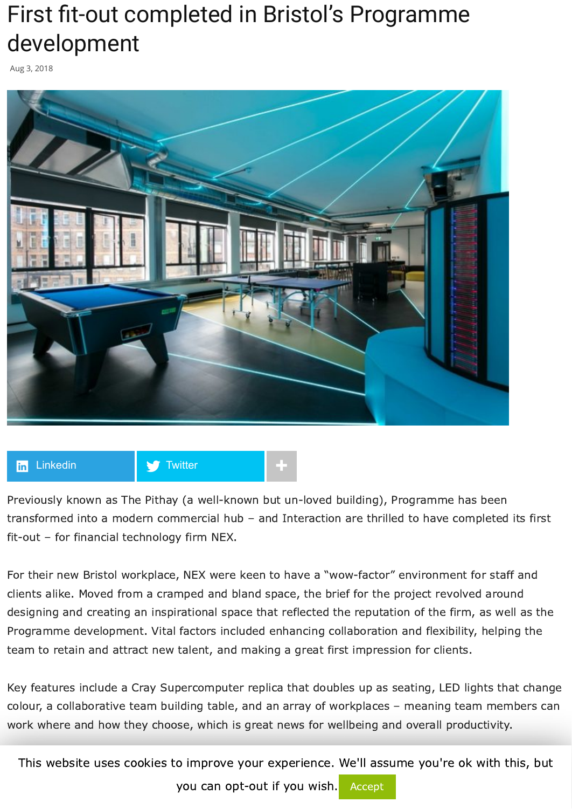## First fit-out completed in Bristol's Programme development

Aug 3, 2018



## **[Linkedin](https://www.linkedin.com/shareArticle?trk=First+fit-out+completed+in+Bristol%E2%80%99s+Programme+development&url=http%3A%2F%2Fwww.commercialnewsmedia.com%2Farchives%2F77431) Algebra 19 [Twitter](https://twitter.com/intent/tweet?text=First%20fit-out%20completed%20in%20Bristol%E2%80%99s%20Programme%20development&url=http://www.commercialnewsmedia.com/?p=77431&via=propnews)**

Previously known as The Pithay (a well-known but un-loved building), Programme has been transformed into a modern commercial hub – and Interaction are thrilled to have completed its first fit-out – for financial technology firm NEX.

For their new Bristol workplace, NEX were keen to have a "wow-factor" environment for staff and clients alike. Moved from a cramped and bland space, the brief for the project revolved around designing and creating an inspirational space that reflected the reputation of the firm, as well as the Programme development. Vital factors included enhancing collaboration and flexibility, helping the team to retain and attract new talent, and making a great first impression for clients.

Key features include a Cray Supercomputer replica that doubles up as seating, LED lights that change colour, a collaborative team building table, and an array of workplaces – meaning team members can work where and how they choose, which is great news for wellbeing and overall productivity.

This website uses cookies to improve your experience. We'll assume you're ok with this, but

you can opt-out if you wish. Accept are also are also wish and members are also are also are also are also are